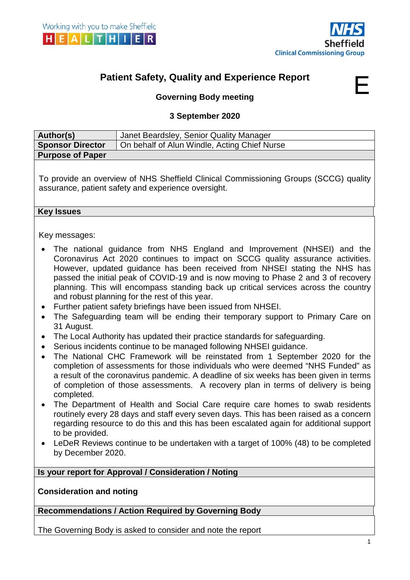



# **Patient Safety, Quality and Experience Report**



# **Governing Body meeting**

#### **3 September 2020**

| Author(s)               | Janet Beardsley, Senior Quality Manager      |
|-------------------------|----------------------------------------------|
| <b>Sponsor Director</b> | On behalf of Alun Windle, Acting Chief Nurse |
| <b>Purpose of Paper</b> |                                              |
|                         |                                              |
|                         | $\sim$ $\sim$ $\sim$ $\sim$<br>.             |

To provide an overview of NHS Sheffield Clinical Commissioning Groups (SCCG) quality assurance, patient safety and experience oversight.

#### **Key Issues**

Key messages:

- The national guidance from NHS England and Improvement (NHSEI) and the Coronavirus Act 2020 continues to impact on SCCG quality assurance activities. However, updated guidance has been received from NHSEI stating the NHS has passed the initial peak of COVID-19 and is now moving to Phase 2 and 3 of recovery planning. This will encompass standing back up critical services across the country and robust planning for the rest of this year.
- Further patient safety briefings have been issued from NHSEI.
- The Safeguarding team will be ending their temporary support to Primary Care on 31 August.
- The Local Authority has updated their practice standards for safeguarding.
- Serious incidents continue to be managed following NHSEI guidance.
- The National CHC Framework will be reinstated from 1 September 2020 for the completion of assessments for those individuals who were deemed "NHS Funded" as a result of the coronavirus pandemic. A deadline of six weeks has been given in terms of completion of those assessments. A recovery plan in terms of delivery is being completed.
- The Department of Health and Social Care require care homes to swab residents routinely every 28 days and staff every seven days. This has been raised as a concern regarding resource to do this and this has been escalated again for additional support to be provided.
- LeDeR Reviews continue to be undertaken with a target of 100% (48) to be completed by December 2020.

**Is your report for Approval / Consideration / Noting**

**Consideration and noting**

**Recommendations / Action Required by Governing Body**

The Governing Body is asked to consider and note the report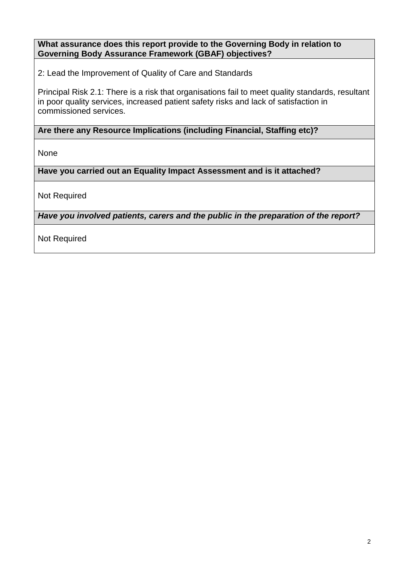## **What assurance does this report provide to the Governing Body in relation to Governing Body Assurance Framework (GBAF) objectives?**

2: Lead the Improvement of Quality of Care and Standards

Principal Risk 2.1: There is a risk that organisations fail to meet quality standards, resultant in poor quality services, increased patient safety risks and lack of satisfaction in commissioned services.

**Are there any Resource Implications (including Financial, Staffing etc)?**

None

**Have you carried out an Equality Impact Assessment and is it attached?**

Not Required

*Have you involved patients, carers and the public in the preparation of the report?* 

Not Required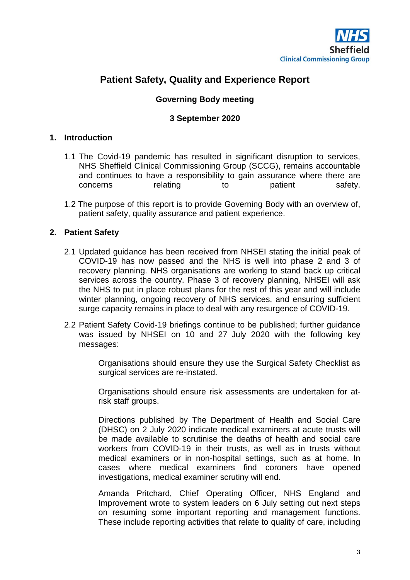

# **Patient Safety, Quality and Experience Report**

## **Governing Body meeting**

#### **3 September 2020**

#### **1. Introduction**

- 1.1 The Covid-19 pandemic has resulted in significant disruption to services, NHS Sheffield Clinical Commissioning Group (SCCG), remains accountable and continues to have a responsibility to gain assurance where there are concerns relating to patient safety.
- 1.2 The purpose of this report is to provide Governing Body with an overview of, patient safety, quality assurance and patient experience.

#### **2. Patient Safety**

- 2.1 Updated guidance has been received from NHSEI stating the initial peak of COVID-19 has now passed and the NHS is well into phase 2 and 3 of recovery planning. NHS organisations are working to stand back up critical services across the country. Phase 3 of recovery planning, NHSEI will ask the NHS to put in place robust plans for the rest of this year and will include winter planning, ongoing recovery of NHS services, and ensuring sufficient surge capacity remains in place to deal with any resurgence of COVID-19.
- 2.2 Patient Safety Covid-19 briefings continue to be published; further guidance was issued by NHSEI on 10 and 27 July 2020 with the following key messages:

Organisations should ensure they use the Surgical Safety Checklist as surgical services are re-instated.

Organisations should ensure risk assessments are undertaken for atrisk staff groups.

Directions published by The Department of Health and Social Care (DHSC) on 2 July 2020 indicate medical examiners at acute trusts will be made available to scrutinise the deaths of health and social care workers from COVID-19 in their trusts, as well as in trusts without medical examiners or in non-hospital settings, such as at home. In cases where medical examiners find coroners have opened investigations, medical examiner scrutiny will end.

Amanda Pritchard, Chief Operating Officer, NHS England and Improvement wrote to system leaders on 6 July setting out next steps on resuming some important reporting and management functions. These include reporting activities that relate to quality of care, including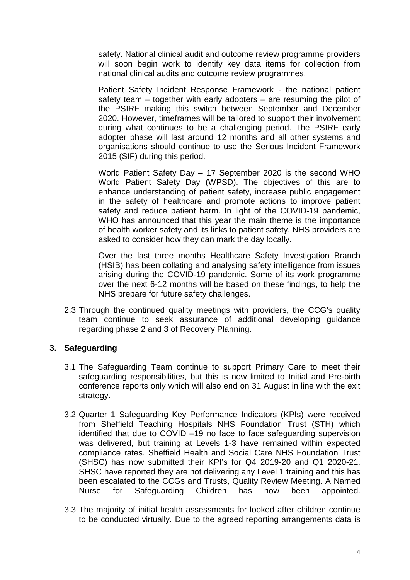safety. National clinical audit and outcome review programme providers will soon begin work to identify key data items for collection from national clinical audits and outcome review programmes.

Patient Safety Incident Response Framework - the national patient safety team – together with early adopters – are resuming the pilot of the PSIRF making this switch between September and December 2020. However, timeframes will be tailored to support their involvement during what continues to be a challenging period. The PSIRF early adopter phase will last around 12 months and all other systems and organisations should continue to use the Serious Incident Framework 2015 (SIF) during this period.

World Patient Safety Day – 17 September 2020 is the second WHO World Patient Safety Day (WPSD). The objectives of this are to enhance understanding of patient safety, increase public engagement in the safety of healthcare and promote actions to improve patient safety and reduce patient harm. In light of the COVID-19 pandemic, WHO has announced that this year the main theme is the importance of health worker safety and its links to patient safety. NHS providers are asked to consider how they can mark the day locally.

Over the last three months Healthcare Safety Investigation Branch (HSIB) has been collating and analysing safety intelligence from issues arising during the COVID-19 pandemic. Some of its work programme over the next 6-12 months will be based on these findings, to help the NHS prepare for future safety challenges.

2.3 Through the continued quality meetings with providers, the CCG's quality team continue to seek assurance of additional developing guidance regarding phase 2 and 3 of Recovery Planning.

#### **3. Safeguarding**

- 3.1 The Safeguarding Team continue to support Primary Care to meet their safeguarding responsibilities, but this is now limited to Initial and Pre-birth conference reports only which will also end on 31 August in line with the exit strategy.
- 3.2 Quarter 1 Safeguarding Key Performance Indicators (KPIs) were received from Sheffield Teaching Hospitals NHS Foundation Trust (STH) which identified that due to COVID –19 no face to face safeguarding supervision was delivered, but training at Levels 1-3 have remained within expected compliance rates. Sheffield Health and Social Care NHS Foundation Trust (SHSC) has now submitted their KPI's for Q4 2019-20 and Q1 2020-21. SHSC have reported they are not delivering any Level 1 training and this has been escalated to the CCGs and Trusts, Quality Review Meeting. A Named Nurse for Safeguarding Children has now been appointed.
- 3.3 The majority of initial health assessments for looked after children continue to be conducted virtually. Due to the agreed reporting arrangements data is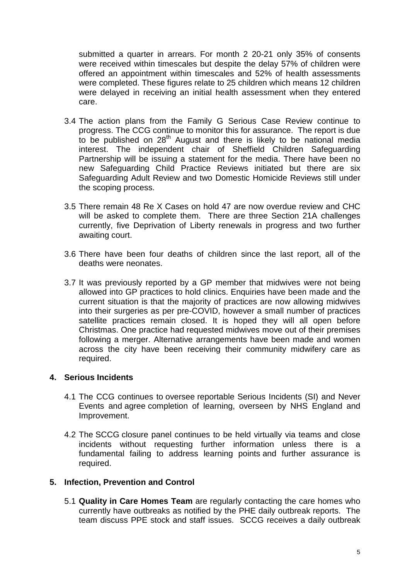submitted a quarter in arrears. For month 2 20-21 only 35% of consents were received within timescales but despite the delay 57% of children were offered an appointment within timescales and 52% of health assessments were completed. These figures relate to 25 children which means 12 children were delayed in receiving an initial health assessment when they entered care.

- 3.4 The action plans from the Family G Serious Case Review continue to progress. The CCG continue to monitor this for assurance. The report is due to be published on 28<sup>th</sup> August and there is likely to be national media interest. The independent chair of Sheffield Children Safeguarding Partnership will be issuing a statement for the media. There have been no new Safeguarding Child Practice Reviews initiated but there are six Safeguarding Adult Review and two Domestic Homicide Reviews still under the scoping process.
- 3.5 There remain 48 Re X Cases on hold 47 are now overdue review and CHC will be asked to complete them. There are three Section 21A challenges currently, five Deprivation of Liberty renewals in progress and two further awaiting court.
- 3.6 There have been four deaths of children since the last report, all of the deaths were neonates.
- 3.7 It was previously reported by a GP member that midwives were not being allowed into GP practices to hold clinics. Enquiries have been made and the current situation is that the majority of practices are now allowing midwives into their surgeries as per pre-COVID, however a small number of practices satellite practices remain closed. It is hoped they will all open before Christmas. One practice had requested midwives move out of their premises following a merger. Alternative arrangements have been made and women across the city have been receiving their community midwifery care as required.

#### **4. Serious Incidents**

- 4.1 The CCG continues to oversee reportable Serious Incidents (SI) and Never Events and agree completion of learning, overseen by NHS England and Improvement.
- 4.2 The SCCG closure panel continues to be held virtually via teams and close incidents without requesting further information unless there is a fundamental failing to address learning points and further assurance is required.

#### **5. Infection, Prevention and Control**

5.1 **Quality in Care Homes Team** are regularly contacting the care homes who currently have outbreaks as notified by the PHE daily outbreak reports. The team discuss PPE stock and staff issues. SCCG receives a daily outbreak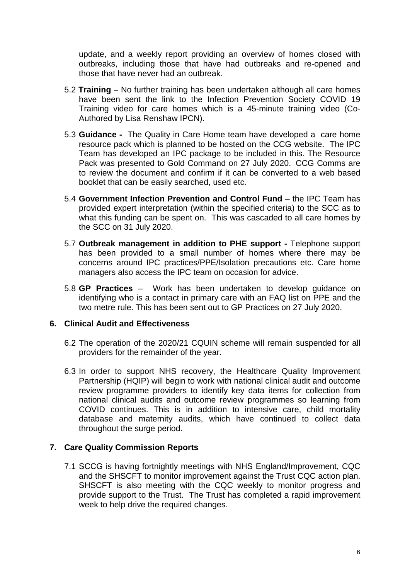update, and a weekly report providing an overview of homes closed with outbreaks, including those that have had outbreaks and re-opened and those that have never had an outbreak.

- 5.2 **Training –** No further training has been undertaken although all care homes have been sent the link to the Infection Prevention Society COVID 19 Training video for care homes which is a 45-minute training video (Co-Authored by Lisa Renshaw IPCN).
- 5.3 **Guidance -** The Quality in Care Home team have developed a care home resource pack which is planned to be hosted on the CCG website. The IPC Team has developed an IPC package to be included in this. The Resource Pack was presented to Gold Command on 27 July 2020. CCG Comms are to review the document and confirm if it can be converted to a web based booklet that can be easily searched, used etc.
- 5.4 **Government Infection Prevention and Control Fund** the IPC Team has provided expert interpretation (within the specified criteria) to the SCC as to what this funding can be spent on. This was cascaded to all care homes by the SCC on 31 July 2020.
- 5.7 **Outbreak management in addition to PHE support -** Telephone support has been provided to a small number of homes where there may be concerns around IPC practices/PPE/Isolation precautions etc. Care home managers also access the IPC team on occasion for advice.
- 5.8 **GP Practices** Work has been undertaken to develop guidance on identifying who is a contact in primary care with an FAQ list on PPE and the two metre rule. This has been sent out to GP Practices on 27 July 2020.

#### **6. Clinical Audit and Effectiveness**

- 6.2 The operation of the 2020/21 CQUIN scheme will remain suspended for all providers for the remainder of the year.
- 6.3 In order to support NHS recovery, the Healthcare Quality Improvement Partnership (HQIP) will begin to work with national clinical audit and outcome review programme providers to identify key data items for collection from national clinical audits and outcome review programmes so learning from COVID continues. This is in addition to intensive care, child mortality database and maternity audits, which have continued to collect data throughout the surge period.

#### **7. Care Quality Commission Reports**

7.1 SCCG is having fortnightly meetings with NHS England/Improvement, CQC and the SHSCFT to monitor improvement against the Trust CQC action plan. SHSCFT is also meeting with the CQC weekly to monitor progress and provide support to the Trust. The Trust has completed a rapid improvement week to help drive the required changes.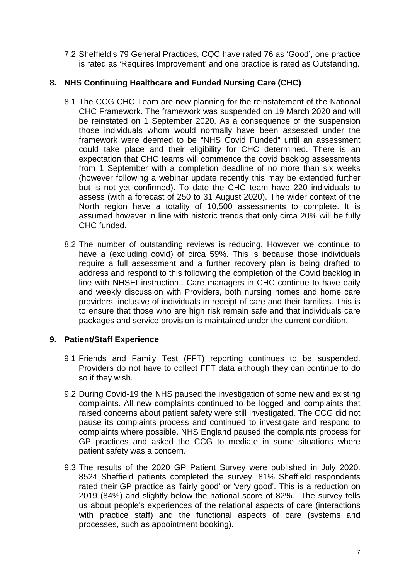7.2 Sheffield's 79 General Practices, CQC have rated 76 as 'Good', one practice is rated as 'Requires Improvement' and one practice is rated as Outstanding.

# **8. NHS Continuing Healthcare and Funded Nursing Care (CHC)**

- 8.1 The CCG CHC Team are now planning for the reinstatement of the National CHC Framework. The framework was suspended on 19 March 2020 and will be reinstated on 1 September 2020. As a consequence of the suspension those individuals whom would normally have been assessed under the framework were deemed to be "NHS Covid Funded" until an assessment could take place and their eligibility for CHC determined. There is an expectation that CHC teams will commence the covid backlog assessments from 1 September with a completion deadline of no more than six weeks (however following a webinar update recently this may be extended further but is not yet confirmed). To date the CHC team have 220 individuals to assess (with a forecast of 250 to 31 August 2020). The wider context of the North region have a totality of 10,500 assessments to complete. It is assumed however in line with historic trends that only circa 20% will be fully CHC funded.
- 8.2 The number of outstanding reviews is reducing. However we continue to have a (excluding covid) of circa 59%. This is because those individuals require a full assessment and a further recovery plan is being drafted to address and respond to this following the completion of the Covid backlog in line with NHSEI instruction.. Care managers in CHC continue to have daily and weekly discussion with Providers, both nursing homes and home care providers, inclusive of individuals in receipt of care and their families. This is to ensure that those who are high risk remain safe and that individuals care packages and service provision is maintained under the current condition.

# **9. Patient/Staff Experience**

- 9.1 Friends and Family Test (FFT) reporting continues to be suspended. Providers do not have to collect FFT data although they can continue to do so if they wish.
- 9.2 During Covid-19 the NHS paused the investigation of some new and existing complaints. All new complaints continued to be logged and complaints that raised concerns about patient safety were still investigated. The CCG did not pause its complaints process and continued to investigate and respond to complaints where possible. NHS England paused the complaints process for GP practices and asked the CCG to mediate in some situations where patient safety was a concern.
- 9.3 The results of the 2020 GP Patient Survey were published in July 2020. 8524 Sheffield patients completed the survey. 81% Sheffield respondents rated their GP practice as 'fairly good' or 'very good'. This is a reduction on 2019 (84%) and slightly below the national score of 82%. The survey tells us about people's experiences of the relational aspects of care (interactions with practice staff) and the functional aspects of care (systems and processes, such as appointment booking).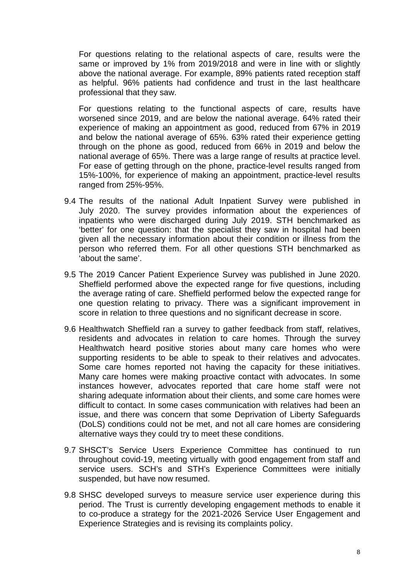For questions relating to the relational aspects of care, results were the same or improved by 1% from 2019/2018 and were in line with or slightly above the national average. For example, 89% patients rated reception staff as helpful. 96% patients had confidence and trust in the last healthcare professional that they saw.

For questions relating to the functional aspects of care, results have worsened since 2019, and are below the national average. 64% rated their experience of making an appointment as good, reduced from 67% in 2019 and below the national average of 65%. 63% rated their experience getting through on the phone as good, reduced from 66% in 2019 and below the national average of 65%. There was a large range of results at practice level. For ease of getting through on the phone, practice-level results ranged from 15%-100%, for experience of making an appointment, practice-level results ranged from 25%-95%.

- 9.4 The results of the national Adult Inpatient Survey were published in July 2020. The survey provides information about the experiences of inpatients who were discharged during July 2019. STH benchmarked as 'better' for one question: that the specialist they saw in hospital had been given all the necessary information about their condition or illness from the person who referred them. For all other questions STH benchmarked as 'about the same'.
- 9.5 The 2019 Cancer Patient Experience Survey was published in June 2020. Sheffield performed above the expected range for five questions, including the average rating of care. Sheffield performed below the expected range for one question relating to privacy. There was a significant improvement in score in relation to three questions and no significant decrease in score.
- 9.6 Healthwatch Sheffield ran a survey to gather feedback from staff, relatives, residents and advocates in relation to care homes. Through the survey Healthwatch heard positive stories about many care homes who were supporting residents to be able to speak to their relatives and advocates. Some care homes reported not having the capacity for these initiatives. Many care homes were making proactive contact with advocates. In some instances however, advocates reported that care home staff were not sharing adequate information about their clients, and some care homes were difficult to contact. In some cases communication with relatives had been an issue, and there was concern that some Deprivation of Liberty Safeguards (DoLS) conditions could not be met, and not all care homes are considering alternative ways they could try to meet these conditions.
- 9.7 SHSCT's Service Users Experience Committee has continued to run throughout covid-19, meeting virtually with good engagement from staff and service users. SCH's and STH's Experience Committees were initially suspended, but have now resumed.
- 9.8 SHSC developed surveys to measure service user experience during this period. The Trust is currently developing engagement methods to enable it to co-produce a strategy for the 2021-2026 Service User Engagement and Experience Strategies and is revising its complaints policy.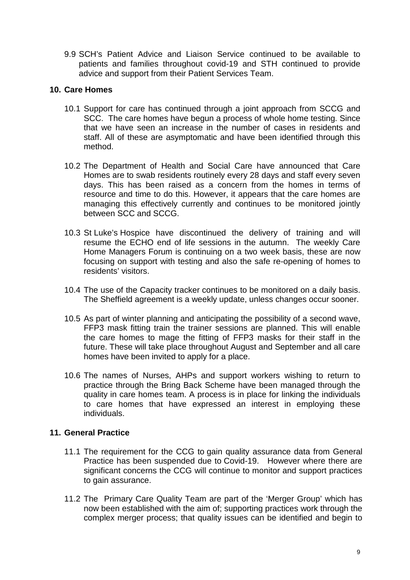9.9 SCH's Patient Advice and Liaison Service continued to be available to patients and families throughout covid-19 and STH continued to provide advice and support from their Patient Services Team.

#### **10. Care Homes**

- 10.1 Support for care has continued through a joint approach from SCCG and SCC. The care homes have begun a process of whole home testing. Since that we have seen an increase in the number of cases in residents and staff. All of these are asymptomatic and have been identified through this method.
- 10.2 The Department of Health and Social Care have announced that Care Homes are to swab residents routinely every 28 days and staff every seven days. This has been raised as a concern from the homes in terms of resource and time to do this. However, it appears that the care homes are managing this effectively currently and continues to be monitored jointly between SCC and SCCG.
- 10.3 St Luke's Hospice have discontinued the delivery of training and will resume the ECHO end of life sessions in the autumn. The weekly Care Home Managers Forum is continuing on a two week basis, these are now focusing on support with testing and also the safe re-opening of homes to residents' visitors.
- 10.4 The use of the Capacity tracker continues to be monitored on a daily basis. The Sheffield agreement is a weekly update, unless changes occur sooner.
- 10.5 As part of winter planning and anticipating the possibility of a second wave, FFP3 mask fitting train the trainer sessions are planned. This will enable the care homes to mage the fitting of FFP3 masks for their staff in the future. These will take place throughout August and September and all care homes have been invited to apply for a place.
- 10.6 The names of Nurses, AHPs and support workers wishing to return to practice through the Bring Back Scheme have been managed through the quality in care homes team. A process is in place for linking the individuals to care homes that have expressed an interest in employing these individuals.

# **11. General Practice**

- 11.1 The requirement for the CCG to gain quality assurance data from General Practice has been suspended due to Covid-19. However where there are significant concerns the CCG will continue to monitor and support practices to gain assurance.
- 11.2 The Primary Care Quality Team are part of the 'Merger Group' which has now been established with the aim of; supporting practices work through the complex merger process; that quality issues can be identified and begin to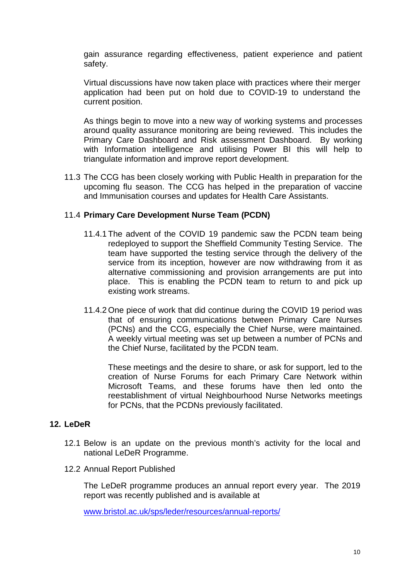gain assurance regarding effectiveness, patient experience and patient safety.

Virtual discussions have now taken place with practices where their merger application had been put on hold due to COVID-19 to understand the current position.

As things begin to move into a new way of working systems and processes around quality assurance monitoring are being reviewed. This includes the Primary Care Dashboard and Risk assessment Dashboard. By working with Information intelligence and utilising Power BI this will help to triangulate information and improve report development.

11.3 The CCG has been closely working with Public Health in preparation for the upcoming flu season. The CCG has helped in the preparation of vaccine and Immunisation courses and updates for Health Care Assistants.

## 11.4 **Primary Care Development Nurse Team (PCDN)**

- 11.4.1 The advent of the COVID 19 pandemic saw the PCDN team being redeployed to support the Sheffield Community Testing Service. The team have supported the testing service through the delivery of the service from its inception, however are now withdrawing from it as alternative commissioning and provision arrangements are put into place. This is enabling the PCDN team to return to and pick up existing work streams.
- 11.4.2 One piece of work that did continue during the COVID 19 period was that of ensuring communications between Primary Care Nurses (PCNs) and the CCG, especially the Chief Nurse, were maintained. A weekly virtual meeting was set up between a number of PCNs and the Chief Nurse, facilitated by the PCDN team.

These meetings and the desire to share, or ask for support, led to the creation of Nurse Forums for each Primary Care Network within Microsoft Teams, and these forums have then led onto the reestablishment of virtual Neighbourhood Nurse Networks meetings for PCNs, that the PCDNs previously facilitated.

# **12. LeDeR**

- 12.1 Below is an update on the previous month's activity for the local and national LeDeR Programme.
- 12.2 Annual Report Published

The LeDeR programme produces an annual report every year. The 2019 report was recently published and is available at

[www.bristol.ac.uk/sps/leder/resources/annual-reports/](http://www.bristol.ac.uk/sps/leder/resources/annual-reports/)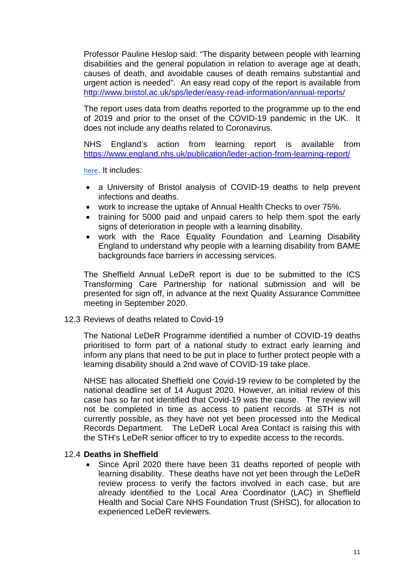Professor Pauline Heslop said: "The disparity between people with learning disabilities and the general population in relation to average age at death, causes of death, and avoidable causes of death remains substantial and urgent action is needed". An easy read copy of the report is available from <http://www.bristol.ac.uk/sps/leder/easy-read-information/annual-reports/>

The report uses data from deaths reported to the programme up to the end of 2019 and prior to the onset of the COVID-19 pandemic in the UK. It does not include any deaths related to Coronavirus.

NHS England's action from learning report is available from <https://www.england.nhs.uk/publication/leder-action-from-learning-report/>

[here](https://tinyurl.com/y47yhb8x). It includes:

- a University of Bristol analysis of COVID-19 deaths to help prevent infections and deaths.
- work to increase the uptake of Annual Health Checks to over 75%.
- training for 5000 paid and unpaid carers to help them spot the early signs of deterioration in people with a learning disability.
- work with the Race Equality Foundation and Learning Disability England to understand why people with a learning disability from BAME backgrounds face barriers in accessing services.

The Sheffield Annual LeDeR report is due to be submitted to the ICS Transforming Care Partnership for national submission and will be presented for sign off, in advance at the next Quality Assurance Committee meeting in September 2020.

#### 12.3 Reviews of deaths related to Covid-19

The National LeDeR Programme identified a number of COVID-19 deaths prioritised to form part of a national study to extract early learning and inform any plans that need to be put in place to further protect people with a learning disability should a 2nd wave of COVID-19 take place.

NHSE has allocated Sheffield one Covid-19 review to be completed by the national deadline set of 14 August 2020. However, an initial review of this case has so far not identified that Covid-19 was the cause. The review will not be completed in time as access to patient records at STH is not currently possible, as they have not yet been processed into the Medical Records Department. The LeDeR Local Area Contact is raising this with the STH's LeDeR senior officer to try to expedite access to the records.

#### 12.4 **Deaths in Sheffield**

• Since April 2020 there have been 31 deaths reported of people with learning disability. These deaths have not yet been through the LeDeR review process to verify the factors involved in each case, but are already identified to the Local Area Coordinator (LAC) in Sheffield Health and Social Care NHS Foundation Trust (SHSC), for allocation to experienced LeDeR reviewers.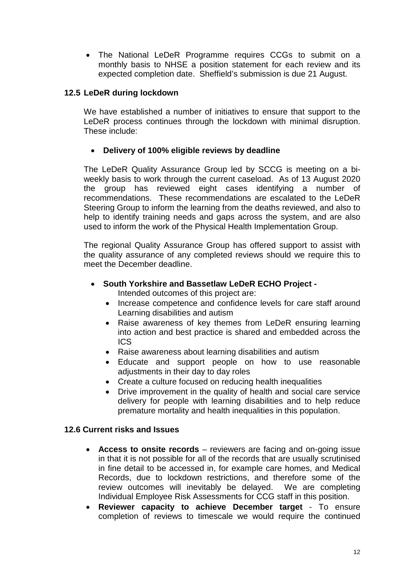• The National LeDeR Programme requires CCGs to submit on a monthly basis to NHSE a position statement for each review and its expected completion date. Sheffield's submission is due 21 August.

## **12.5 LeDeR during lockdown**

We have established a number of initiatives to ensure that support to the LeDeR process continues through the lockdown with minimal disruption. These include:

## • **Delivery of 100% eligible reviews by deadline**

The LeDeR Quality Assurance Group led by SCCG is meeting on a biweekly basis to work through the current caseload. As of 13 August 2020 the group has reviewed eight cases identifying a number of recommendations. These recommendations are escalated to the LeDeR Steering Group to inform the learning from the deaths reviewed, and also to help to identify training needs and gaps across the system, and are also used to inform the work of the Physical Health Implementation Group.

The regional Quality Assurance Group has offered support to assist with the quality assurance of any completed reviews should we require this to meet the December deadline.

- **South Yorkshire and Bassetlaw LeDeR ECHO Project -** Intended outcomes of this project are:
	- Increase competence and confidence levels for care staff around Learning disabilities and autism
	- Raise awareness of key themes from LeDeR ensuring learning into action and best practice is shared and embedded across the ICS
	- Raise awareness about learning disabilities and autism
	- Educate and support people on how to use reasonable adjustments in their day to day roles
	- Create a culture focused on reducing health inequalities
	- Drive improvement in the quality of health and social care service delivery for people with learning disabilities and to help reduce premature mortality and health inequalities in this population.

#### **12.6 Current risks and Issues**

- **Access to onsite records** reviewers are facing and on-going issue in that it is not possible for all of the records that are usually scrutinised in fine detail to be accessed in, for example care homes, and Medical Records, due to lockdown restrictions, and therefore some of the review outcomes will inevitably be delayed. We are completing Individual Employee Risk Assessments for CCG staff in this position.
- **Reviewer capacity to achieve December target**  To ensure completion of reviews to timescale we would require the continued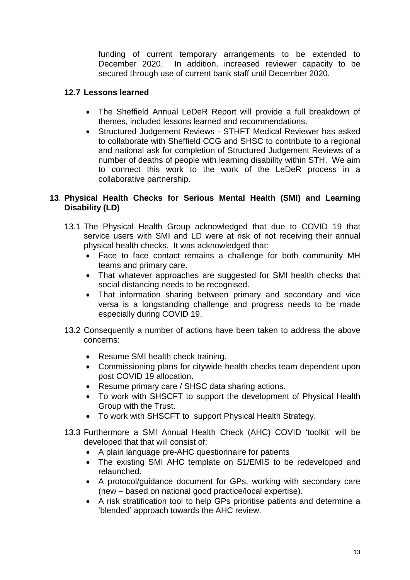funding of current temporary arrangements to be extended to December 2020. In addition, increased reviewer capacity to be secured through use of current bank staff until December 2020.

## **12.7 Lessons learned**

- The Sheffield Annual LeDeR Report will provide a full breakdown of themes, included lessons learned and recommendations.
- Structured Judgement Reviews STHFT Medical Reviewer has asked to collaborate with Sheffield CCG and SHSC to contribute to a regional and national ask for completion of Structured Judgement Reviews of a number of deaths of people with learning disability within STH. We aim to connect this work to the work of the LeDeR process in a collaborative partnership.

## **13**. **Physical Health Checks for Serious Mental Health (SMI) and Learning Disability (LD)**

- 13.1 The Physical Health Group acknowledged that due to COVID 19 that service users with SMI and LD were at risk of not receiving their annual physical health checks. It was acknowledged that:
	- Face to face contact remains a challenge for both community MH teams and primary care.
	- That whatever approaches are suggested for SMI health checks that social distancing needs to be recognised.
	- That information sharing between primary and secondary and vice versa is a longstanding challenge and progress needs to be made especially during COVID 19.
- 13.2 Consequently a number of actions have been taken to address the above concerns:
	- Resume SMI health check training.
	- Commissioning plans for citywide health checks team dependent upon post COVID 19 allocation.
	- Resume primary care / SHSC data sharing actions.
	- To work with SHSCFT to support the development of Physical Health Group with the Trust.
	- To work with SHSCFT to support Physical Health Strategy.
- 13.3 Furthermore a SMI Annual Health Check (AHC) COVID 'toolkit' will be developed that that will consist of:
	- A plain language pre-AHC questionnaire for patients
	- The existing SMI AHC template on S1/EMIS to be redeveloped and relaunched.
	- A protocol/guidance document for GPs, working with secondary care (new – based on national good practice/local expertise).
	- A risk stratification tool to help GPs prioritise patients and determine a 'blended' approach towards the AHC review.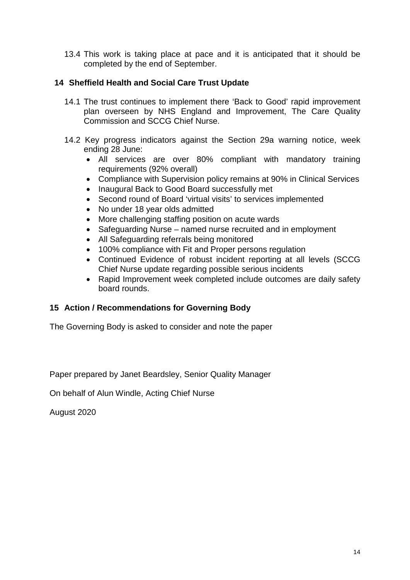13.4 This work is taking place at pace and it is anticipated that it should be completed by the end of September.

# **14 Sheffield Health and Social Care Trust Update**

- 14.1 The trust continues to implement there 'Back to Good' rapid improvement plan overseen by NHS England and Improvement, The Care Quality Commission and SCCG Chief Nurse.
- 14.2 Key progress indicators against the Section 29a warning notice, week ending 28 June:
	- All services are over 80% compliant with mandatory training requirements (92% overall)
	- Compliance with Supervision policy remains at 90% in Clinical Services
	- Inaugural Back to Good Board successfully met
	- Second round of Board 'virtual visits' to services implemented
	- No under 18 year olds admitted
	- More challenging staffing position on acute wards
	- Safeguarding Nurse named nurse recruited and in employment
	- All Safeguarding referrals being monitored
	- 100% compliance with Fit and Proper persons regulation
	- Continued Evidence of robust incident reporting at all levels (SCCG Chief Nurse update regarding possible serious incidents
	- Rapid Improvement week completed include outcomes are daily safety board rounds.

# **15 Action / Recommendations for Governing Body**

The Governing Body is asked to consider and note the paper

Paper prepared by Janet Beardsley, Senior Quality Manager

On behalf of Alun Windle, Acting Chief Nurse

August 2020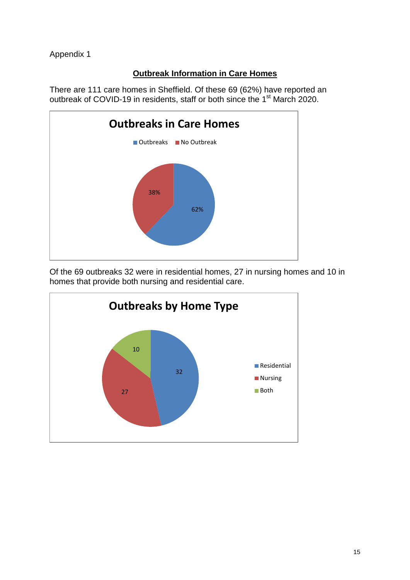Appendix 1

# **Outbreak Information in Care Homes**

There are 111 care homes in Sheffield. Of these 69 (62%) have reported an outbreak of COVID-19 in residents, staff or both since the 1st March 2020.



Of the 69 outbreaks 32 were in residential homes, 27 in nursing homes and 10 in homes that provide both nursing and residential care.